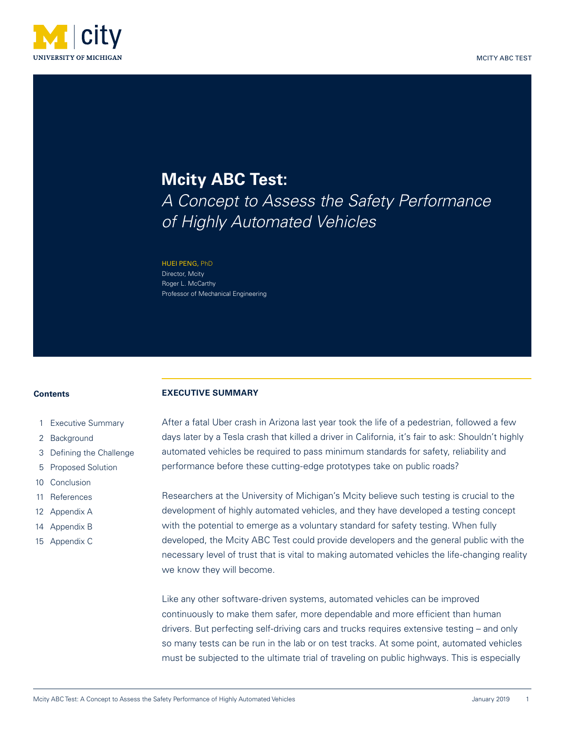

# **Mcity ABC Test:** *A Concept to Assess the Safety Performance of Highly Automated Vehicles*

HUEI PENG, PhD Director, Mcity Roger L. McCarthy Professor of Mechanical Engineering

#### **Contents**

- 1 Executive Summary
- 2 [Background](#page-1-0)
- 3 [Defining the Challenge](#page-2-0)
- 5 [Proposed Solution](#page-4-0)
- 10 [Conclusion](#page-9-0)
- 11 [References](#page-10-0)
- 12 [Appendix A](#page-11-0)
- 14 [Appendix B](#page-13-0)
- 15 [Appendix C](#page-14-0)

### **EXECUTIVE SUMMARY**

After a fatal Uber crash in Arizona last year took the life of a pedestrian, followed a few days later by a Tesla crash that killed a driver in California, it's fair to ask: Shouldn't highly automated vehicles be required to pass minimum standards for safety, reliability and performance before these cutting-edge prototypes take on public roads?

Researchers at the University of Michigan's Mcity believe such testing is crucial to the development of highly automated vehicles, and they have developed a testing concept with the potential to emerge as a voluntary standard for safety testing. When fully developed, the Mcity ABC Test could provide developers and the general public with the necessary level of trust that is vital to making automated vehicles the life-changing reality we know they will become.

Like any other software-driven systems, automated vehicles can be improved continuously to make them safer, more dependable and more efficient than human drivers. But perfecting self-driving cars and trucks requires extensive testing – and only so many tests can be run in the lab or on test tracks. At some point, automated vehicles must be subjected to the ultimate trial of traveling on public highways. This is especially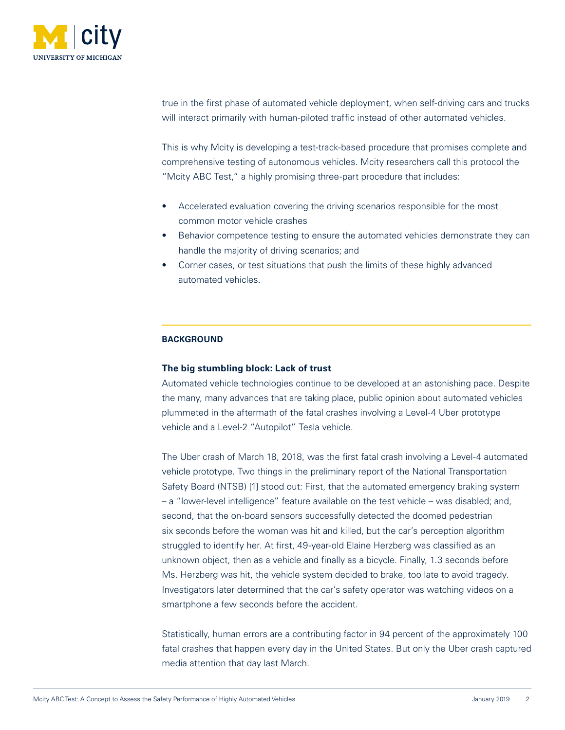<span id="page-1-0"></span>

true in the first phase of automated vehicle deployment, when self-driving cars and trucks will interact primarily with human-piloted traffic instead of other automated vehicles.

This is why Mcity is developing a test-track-based procedure that promises complete and comprehensive testing of autonomous vehicles. Mcity researchers call this protocol the "Mcity ABC Test," a highly promising three-part procedure that includes:

- Accelerated evaluation covering the driving scenarios responsible for the most common motor vehicle crashes
- Behavior competence testing to ensure the automated vehicles demonstrate they can handle the majority of driving scenarios; and
- Corner cases, or test situations that push the limits of these highly advanced automated vehicles.

# **BACKGROUND**

# **The big stumbling block: Lack of trust**

Automated vehicle technologies continue to be developed at an astonishing pace. Despite the many, many advances that are taking place, public opinion about automated vehicles plummeted in the aftermath of the fatal crashes involving a Level-4 Uber prototype vehicle and a Level-2 "Autopilot" Tesla vehicle.

The Uber crash of March 18, 2018, was the first fatal crash involving a Level-4 automated vehicle prototype. Two things in the preliminary report of the National Transportation Safety Board (NTSB) [1] stood out: First, that the automated emergency braking system – a "lower-level intelligence" feature available on the test vehicle – was disabled; and, second, that the on-board sensors successfully detected the doomed pedestrian six seconds before the woman was hit and killed, but the car's perception algorithm struggled to identify her. At first, 49-year-old Elaine Herzberg was classified as an unknown object, then as a vehicle and finally as a bicycle. Finally, 1.3 seconds before Ms. Herzberg was hit, the vehicle system decided to brake, too late to avoid tragedy. Investigators later determined that the car's safety operator was watching videos on a smartphone a few seconds before the accident.

Statistically, human errors are a contributing factor in 94 percent of the approximately 100 fatal crashes that happen every day in the United States. But only the Uber crash captured media attention that day last March.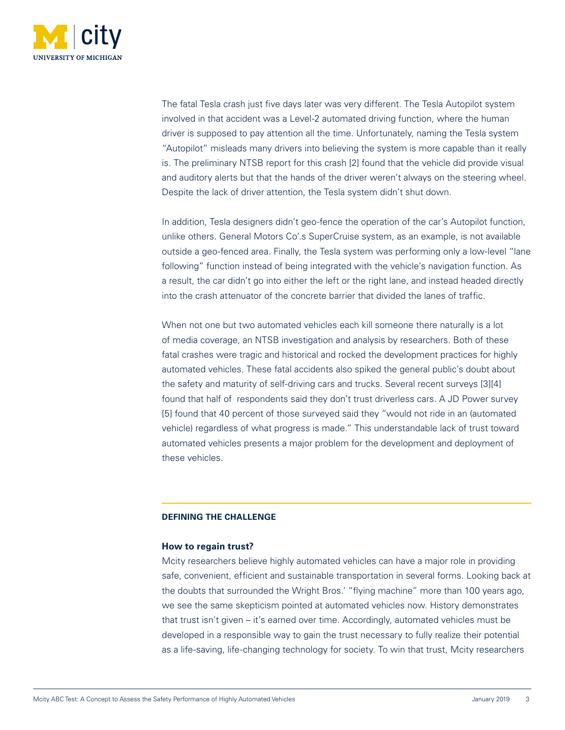<span id="page-2-0"></span>

The fatal Tesla crash just five days later was very different. The Tesla Autopilot system involved in that accident was a Level-2 automated driving function, where the human driver is supposed to pay attention all the time. Unfortunately, naming the Tesla system "Autopilot" misleads many drivers into believing the system is more capable than it really is. The preliminary NTSB report for this crash [2] found that the vehicle did provide visual and auditory alerts but that the hands of the driver weren't always on the steering wheel. Despite the lack of driver attention, the Tesla system didn't shut down.

In addition, Tesla designers didn't geo-fence the operation of the car's Autopilot function, unlike others. General Motors Co'.s SuperCruise system, as an example, is not available outside a geo-fenced area. Finally, the Tesla system was performing only a low-level "lane following" function instead of being integrated with the vehicle's navigation function. As a result, the car didn't go into either the left or the right lane, and instead headed directly into the crash attenuator of the concrete barrier that divided the lanes of traffic.

When not one but two automated vehicles each kill someone there naturally is a lot of media coverage, an NTSB investigation and analysis by researchers. Both of these fatal crashes were tragic and historical and rocked the development practices for highly automated vehicles. These fatal accidents also spiked the general public's doubt about the safety and maturity of self-driving cars and trucks. Several recent surveys [3][4] found that half of respondents said they don't trust driverless cars. A JD Power survey [5] found that 40 percent of those surveyed said they "would not ride in an (automated vehicle) regardless of what progress is made." This understandable lack of trust toward automated vehicles presents a major problem for the development and deployment of these vehicles.

# **DEFINING THE CHALLENGE**

# **How to regain trust?**

Mcity researchers believe highly automated vehicles can have a major role in providing safe, convenient, efficient and sustainable transportation in several forms. Looking back at the doubts that surrounded the Wright Bros.' "flying machine" more than 100 years ago, we see the same skepticism pointed at automated vehicles now. History demonstrates that trust isn't given – it's earned over time. Accordingly, automated vehicles must be developed in a responsible way to gain the trust necessary to fully realize their potential as a life-saving, life-changing technology for society. To win that trust, Mcity researchers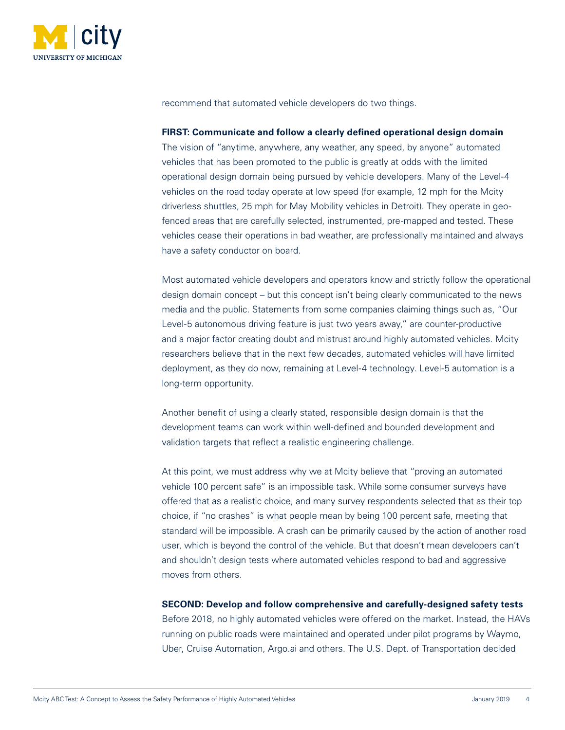

recommend that automated vehicle developers do two things.

## **FIRST: Communicate and follow a clearly defined operational design domain**

The vision of "anytime, anywhere, any weather, any speed, by anyone" automated vehicles that has been promoted to the public is greatly at odds with the limited operational design domain being pursued by vehicle developers. Many of the Level-4 vehicles on the road today operate at low speed (for example, 12 mph for the Mcity driverless shuttles, 25 mph for May Mobility vehicles in Detroit). They operate in geofenced areas that are carefully selected, instrumented, pre-mapped and tested. These vehicles cease their operations in bad weather, are professionally maintained and always have a safety conductor on board.

Most automated vehicle developers and operators know and strictly follow the operational design domain concept – but this concept isn't being clearly communicated to the news media and the public. Statements from some companies claiming things such as, "Our Level-5 autonomous driving feature is just two years away," are counter-productive and a major factor creating doubt and mistrust around highly automated vehicles. Mcity researchers believe that in the next few decades, automated vehicles will have limited deployment, as they do now, remaining at Level-4 technology. Level-5 automation is a long-term opportunity.

Another benefit of using a clearly stated, responsible design domain is that the development teams can work within well-defined and bounded development and validation targets that reflect a realistic engineering challenge.

At this point, we must address why we at Mcity believe that "proving an automated vehicle 100 percent safe" is an impossible task. While some consumer surveys have offered that as a realistic choice, and many survey respondents selected that as their top choice, if "no crashes" is what people mean by being 100 percent safe, meeting that standard will be impossible. A crash can be primarily caused by the action of another road user, which is beyond the control of the vehicle. But that doesn't mean developers can't and shouldn't design tests where automated vehicles respond to bad and aggressive moves from others.

#### **SECOND: Develop and follow comprehensive and carefully-designed safety tests**

Before 2018, no highly automated vehicles were offered on the market. Instead, the HAVs running on public roads were maintained and operated under pilot programs by Waymo, Uber, Cruise Automation, Argo.ai and others. The U.S. Dept. of Transportation decided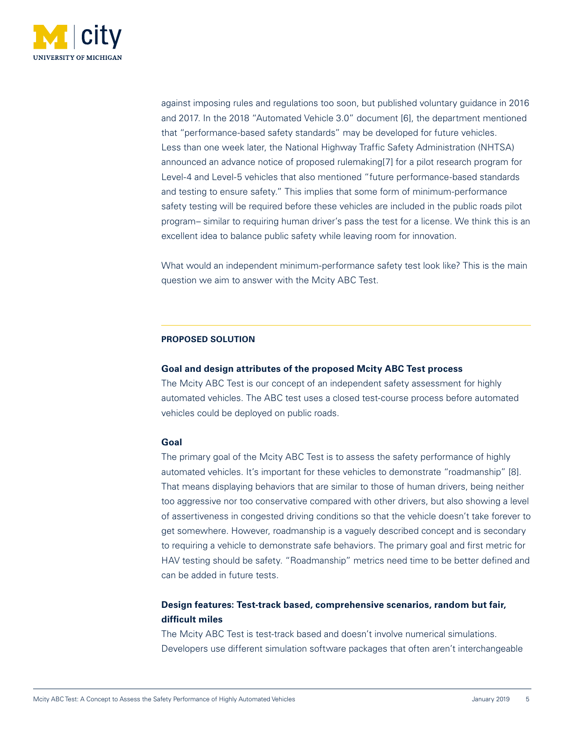<span id="page-4-0"></span>

against imposing rules and regulations too soon, but published voluntary guidance in 2016 and 2017. In the 2018 "Automated Vehicle 3.0" document [6], the department mentioned that "performance-based safety standards" may be developed for future vehicles. Less than one week later, the National Highway Traffic Safety Administration (NHTSA) announced an advance notice of proposed rulemaking[7] for a pilot research program for Level-4 and Level-5 vehicles that also mentioned "future performance-based standards and testing to ensure safety." This implies that some form of minimum-performance safety testing will be required before these vehicles are included in the public roads pilot program– similar to requiring human driver's pass the test for a license. We think this is an excellent idea to balance public safety while leaving room for innovation.

What would an independent minimum-performance safety test look like? This is the main question we aim to answer with the Mcity ABC Test.

## **PROPOSED SOLUTION**

# **Goal and design attributes of the proposed Mcity ABC Test process**

The Mcity ABC Test is our concept of an independent safety assessment for highly automated vehicles. The ABC test uses a closed test-course process before automated vehicles could be deployed on public roads.

# **Goal**

The primary goal of the Mcity ABC Test is to assess the safety performance of highly automated vehicles. It's important for these vehicles to demonstrate "roadmanship" [8]. That means displaying behaviors that are similar to those of human drivers, being neither too aggressive nor too conservative compared with other drivers, but also showing a level of assertiveness in congested driving conditions so that the vehicle doesn't take forever to get somewhere. However, roadmanship is a vaguely described concept and is secondary to requiring a vehicle to demonstrate safe behaviors. The primary goal and first metric for HAV testing should be safety. "Roadmanship" metrics need time to be better defined and can be added in future tests.

# **Design features: Test-track based, comprehensive scenarios, random but fair, difficult miles**

The Mcity ABC Test is test-track based and doesn't involve numerical simulations. Developers use different simulation software packages that often aren't interchangeable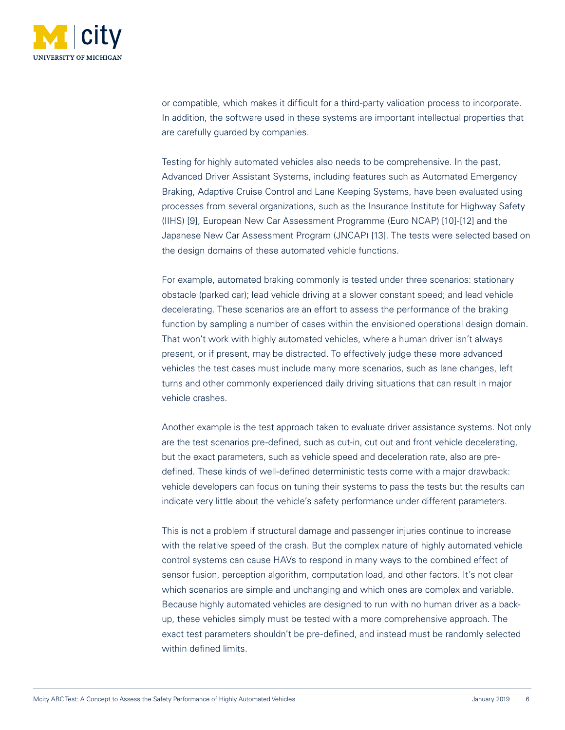

or compatible, which makes it difficult for a third-party validation process to incorporate. In addition, the software used in these systems are important intellectual properties that are carefully guarded by companies.

Testing for highly automated vehicles also needs to be comprehensive. In the past, Advanced Driver Assistant Systems, including features such as Automated Emergency Braking, Adaptive Cruise Control and Lane Keeping Systems, have been evaluated using processes from several organizations, such as the Insurance Institute for Highway Safety (IIHS) [9], European New Car Assessment Programme (Euro NCAP) [10]-[12] and the Japanese New Car Assessment Program (JNCAP) [13]. The tests were selected based on the design domains of these automated vehicle functions.

For example, automated braking commonly is tested under three scenarios: stationary obstacle (parked car); lead vehicle driving at a slower constant speed; and lead vehicle decelerating. These scenarios are an effort to assess the performance of the braking function by sampling a number of cases within the envisioned operational design domain. That won't work with highly automated vehicles, where a human driver isn't always present, or if present, may be distracted. To effectively judge these more advanced vehicles the test cases must include many more scenarios, such as lane changes, left turns and other commonly experienced daily driving situations that can result in major vehicle crashes.

Another example is the test approach taken to evaluate driver assistance systems. Not only are the test scenarios pre-defined, such as cut-in, cut out and front vehicle decelerating, but the exact parameters, such as vehicle speed and deceleration rate, also are predefined. These kinds of well-defined deterministic tests come with a major drawback: vehicle developers can focus on tuning their systems to pass the tests but the results can indicate very little about the vehicle's safety performance under different parameters.

This is not a problem if structural damage and passenger injuries continue to increase with the relative speed of the crash. But the complex nature of highly automated vehicle control systems can cause HAVs to respond in many ways to the combined effect of sensor fusion, perception algorithm, computation load, and other factors. It's not clear which scenarios are simple and unchanging and which ones are complex and variable. Because highly automated vehicles are designed to run with no human driver as a backup, these vehicles simply must be tested with a more comprehensive approach. The exact test parameters shouldn't be pre-defined, and instead must be randomly selected within defined limits.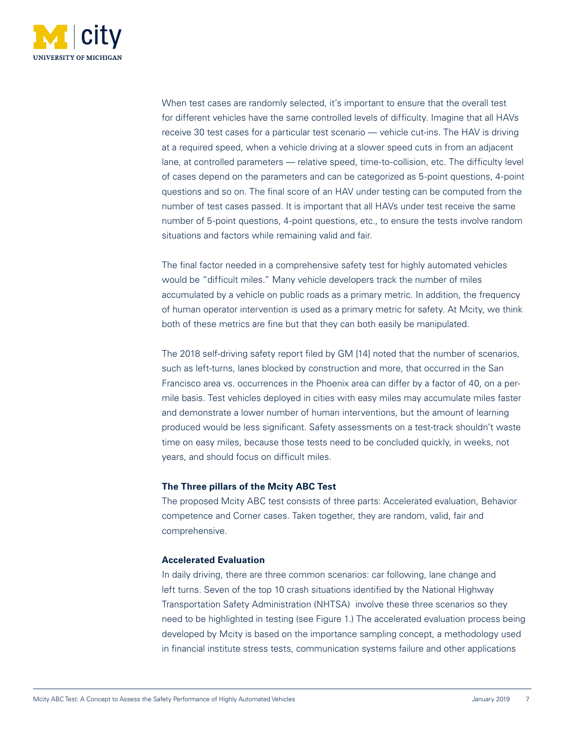

When test cases are randomly selected, it's important to ensure that the overall test for different vehicles have the same controlled levels of difficulty. Imagine that all HAVs receive 30 test cases for a particular test scenario — vehicle cut-ins. The HAV is driving at a required speed, when a vehicle driving at a slower speed cuts in from an adjacent lane, at controlled parameters — relative speed, time-to-collision, etc. The difficulty level of cases depend on the parameters and can be categorized as 5-point questions, 4-point questions and so on. The final score of an HAV under testing can be computed from the number of test cases passed. It is important that all HAVs under test receive the same number of 5-point questions, 4-point questions, etc., to ensure the tests involve random situations and factors while remaining valid and fair.

The final factor needed in a comprehensive safety test for highly automated vehicles would be "difficult miles." Many vehicle developers track the number of miles accumulated by a vehicle on public roads as a primary metric. In addition, the frequency of human operator intervention is used as a primary metric for safety. At Mcity, we think both of these metrics are fine but that they can both easily be manipulated.

The 2018 self-driving safety report filed by GM [14] noted that the number of scenarios, such as left-turns, lanes blocked by construction and more, that occurred in the San Francisco area vs. occurrences in the Phoenix area can differ by a factor of 40, on a permile basis. Test vehicles deployed in cities with easy miles may accumulate miles faster and demonstrate a lower number of human interventions, but the amount of learning produced would be less significant. Safety assessments on a test-track shouldn't waste time on easy miles, because those tests need to be concluded quickly, in weeks, not years, and should focus on difficult miles.

# **The Three pillars of the Mcity ABC Test**

The proposed Mcity ABC test consists of three parts: Accelerated evaluation, Behavior competence and Corner cases. Taken together, they are random, valid, fair and comprehensive.

# **Accelerated Evaluation**

In daily driving, there are three common scenarios: car following, lane change and left turns. Seven of the top 10 crash situations identified by the National Highway Transportation Safety Administration (NHTSA) involve these three scenarios so they need to be highlighted in testing (see Figure 1.) The accelerated evaluation process being developed by Mcity is based on the importance sampling concept, a methodology used in financial institute stress tests, communication systems failure and other applications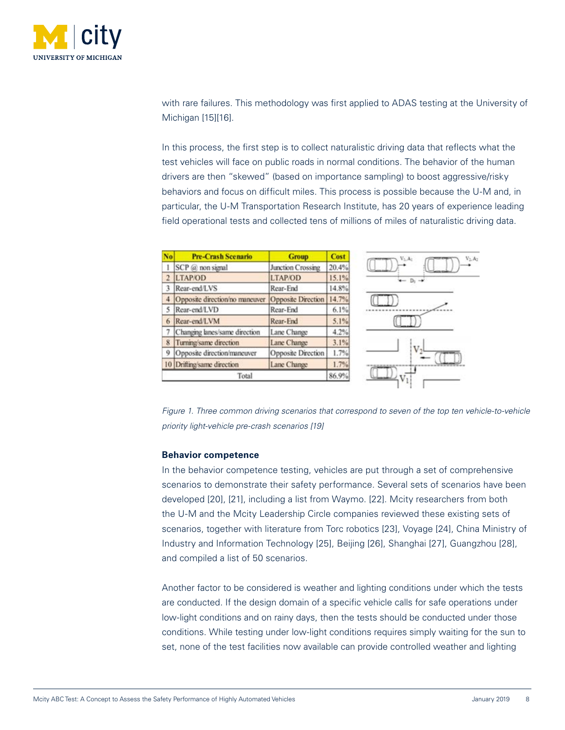

with rare failures. This methodology was first applied to ADAS testing at the University of Michigan [15][16].

In this process, the first step is to collect naturalistic driving data that reflects what the test vehicles will face on public roads in normal conditions. The behavior of the human drivers are then "skewed" (based on importance sampling) to boost aggressive/risky behaviors and focus on difficult miles. This process is possible because the U-M and, in particular, the U-M Transportation Research Institute, has 20 years of experience leading field operational tests and collected tens of millions of miles of naturalistic driving data.

| No    | <b>Pre-Crash Scenario</b>      | <b>Group</b>       | Cost  |
|-------|--------------------------------|--------------------|-------|
|       | SCP @ non signal               | Junction Crossing  | 20.4% |
|       | LTAP/OD                        | <b>LTAP/OD</b>     | 15.1% |
|       | Rear-end/LVS                   | Rear-End           | 14.8% |
|       | Opposite direction/no maneuver | Opposite Direction | 14.7% |
|       | Rear-end/LVD                   | Rear-End           | 6.1%  |
| 6     | Rear-end/LVM                   | Rear-End           | 5.1%  |
|       | Changing lanes/same direction  | Lane Change        | 4.2%  |
| 8     | Turning/same direction         | Lane Change        | 3.1%  |
| 9     | Opposite direction/maneuver    | Opposite Direction | 1.7%  |
|       | 10 Drifting/same direction     | Lane Change        | 1.7%  |
| Total |                                |                    | 86.9% |

*Figure 1. Three common driving scenarios that correspond to seven of the top ten vehicle-to-vehicle priority light-vehicle pre-crash scenarios [19]*

# **Behavior competence**

In the behavior competence testing, vehicles are put through a set of comprehensive scenarios to demonstrate their safety performance. Several sets of scenarios have been developed [20], [21], including a list from Waymo. [22]. Mcity researchers from both the U-M and the Mcity Leadership Circle companies reviewed these existing sets of scenarios, together with literature from Torc robotics [23], Voyage [24], China Ministry of Industry and Information Technology [25], Beijing [26], Shanghai [27], Guangzhou [28], and compiled a list of 50 scenarios.

Another factor to be considered is weather and lighting conditions under which the tests are conducted. If the design domain of a specific vehicle calls for safe operations under low-light conditions and on rainy days, then the tests should be conducted under those conditions. While testing under low-light conditions requires simply waiting for the sun to set, none of the test facilities now available can provide controlled weather and lighting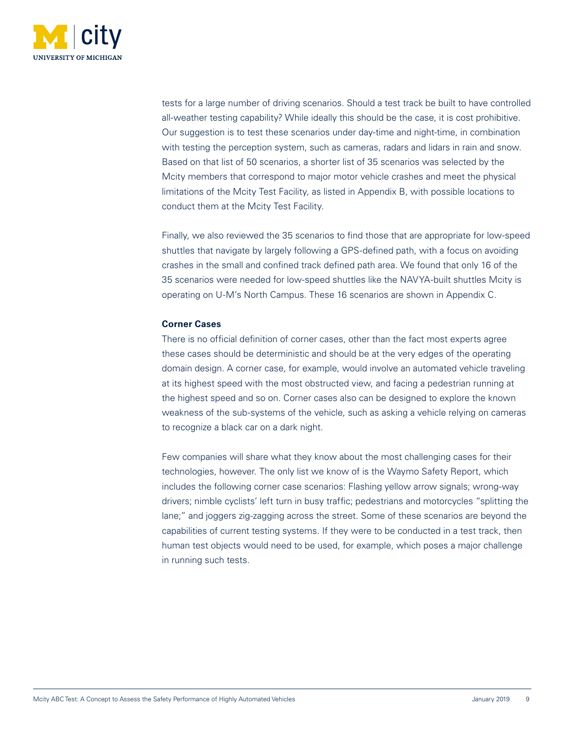

tests for a large number of driving scenarios. Should a test track be built to have controlled all-weather testing capability? While ideally this should be the case, it is cost prohibitive. Our suggestion is to test these scenarios under day-time and night-time, in combination with testing the perception system, such as cameras, radars and lidars in rain and snow. Based on that list of 50 scenarios, a shorter list of 35 scenarios was selected by the Mcity members that correspond to major motor vehicle crashes and meet the physical limitations of the Mcity Test Facility, as listed in Appendix B, with possible locations to conduct them at the Mcity Test Facility.

Finally, we also reviewed the 35 scenarios to find those that are appropriate for low-speed shuttles that navigate by largely following a GPS-defined path, with a focus on avoiding crashes in the small and confined track defined path area. We found that only 16 of the 35 scenarios were needed for low-speed shuttles like the NAVYA-built shuttles Mcity is operating on U-M's North Campus. These 16 scenarios are shown in Appendix C.

# **Corner Cases**

There is no official definition of corner cases, other than the fact most experts agree these cases should be deterministic and should be at the very edges of the operating domain design. A corner case, for example, would involve an automated vehicle traveling at its highest speed with the most obstructed view, and facing a pedestrian running at the highest speed and so on. Corner cases also can be designed to explore the known weakness of the sub-systems of the vehicle, such as asking a vehicle relying on cameras to recognize a black car on a dark night.

Few companies will share what they know about the most challenging cases for their technologies, however. The only list we know of is the Waymo Safety Report, which includes the following corner case scenarios: Flashing yellow arrow signals; wrong-way drivers; nimble cyclists' left turn in busy traffic; pedestrians and motorcycles "splitting the lane;" and joggers zig-zagging across the street. Some of these scenarios are beyond the capabilities of current testing systems. If they were to be conducted in a test track, then human test objects would need to be used, for example, which poses a major challenge in running such tests.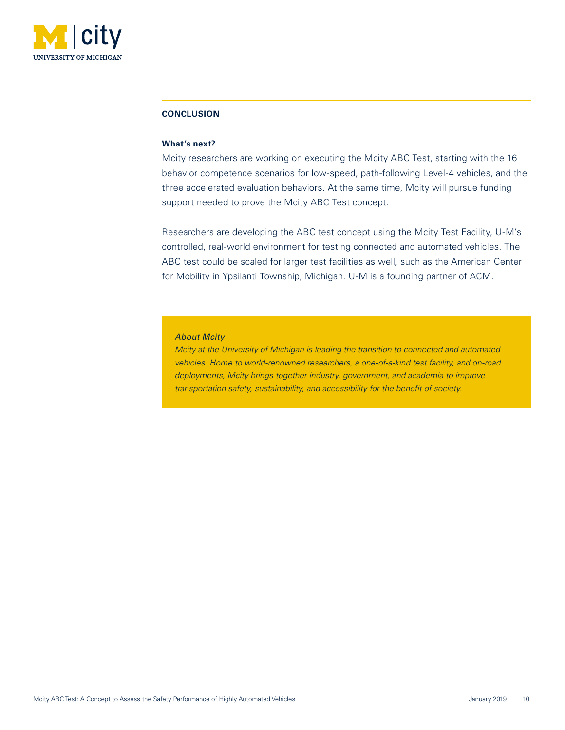<span id="page-9-0"></span>

#### **CONCLUSION**

#### **What's next?**

Mcity researchers are working on executing the Mcity ABC Test, starting with the 16 behavior competence scenarios for low-speed, path-following Level-4 vehicles, and the three accelerated evaluation behaviors. At the same time, Mcity will pursue funding support needed to prove the Mcity ABC Test concept.

Researchers are developing the ABC test concept using the Mcity Test Facility, U-M's controlled, real-world environment for testing connected and automated vehicles. The ABC test could be scaled for larger test facilities as well, such as the American Center for Mobility in Ypsilanti Township, Michigan. U-M is a founding partner of ACM.

#### *About Mcity*

*Mcity at the University of Michigan is leading the transition to connected and automated vehicles. Home to world-renowned researchers, a one-of-a-kind test facility, and on-road deployments, Mcity brings together industry, government, and academia to improve transportation safety, sustainability, and accessibility for the benefit of society.*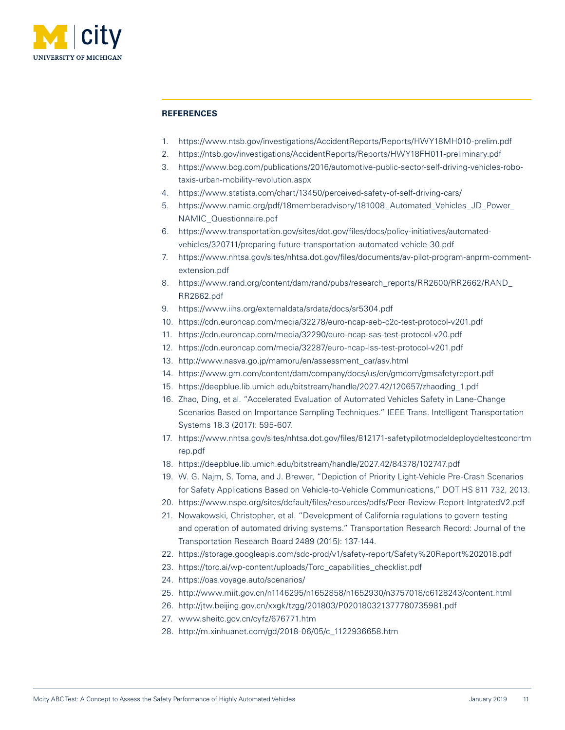<span id="page-10-0"></span>

### **REFERENCES**

- 1. <https://www.ntsb.gov/investigations/AccidentReports/Reports/HWY18MH010-prelim.pdf>
- 2. <https://ntsb.gov/investigations/AccidentReports/Reports/HWY18FH011-preliminary.pdf>
- 3. [https://www.bcg.com/publications/2016/automotive-public-sector-self-driving-vehicles-robo](https://www.bcg.com/publications/2016/automotive-public-sector-self-driving-vehicles-robo-taxis-urban-mobility-revolution.aspx)[taxis-urban-mobility-revolution.aspx](https://www.bcg.com/publications/2016/automotive-public-sector-self-driving-vehicles-robo-taxis-urban-mobility-revolution.aspx)
- 4. <https://www.statista.com/chart/13450/perceived-safety-of-self-driving-cars/>
- 5. [https://www.namic.org/pdf/18memberadvisory/181008\\_Automated\\_Vehicles\\_JD\\_Power\\_](https://www.namic.org/pdf/18memberadvisory/181008_Automated_Vehicles_JD_Power_NAMIC_Questionnaire.pdf) [NAMIC\\_Questionnaire.pdf](https://www.namic.org/pdf/18memberadvisory/181008_Automated_Vehicles_JD_Power_NAMIC_Questionnaire.pdf)
- 6. [https://www.transportation.gov/sites/dot.gov/files/docs/policy-initiatives/automated](https://www.transportation.gov/sites/dot.gov/files/docs/policy-initiatives/automated-vehicles/320711/preparing-future-transportation-automated-vehicle-30.pdf)[vehicles/320711/preparing-future-transportation-automated-vehicle-30.pdf](https://www.transportation.gov/sites/dot.gov/files/docs/policy-initiatives/automated-vehicles/320711/preparing-future-transportation-automated-vehicle-30.pdf)
- 7. [https://www.nhtsa.gov/sites/nhtsa.dot.gov/files/documents/av-pilot-program-anprm-comment](https://www.nhtsa.gov/sites/nhtsa.dot.gov/files/documents/av-pilot-program-anprm-comment-extension.pdf)[extension.pdf](https://www.nhtsa.gov/sites/nhtsa.dot.gov/files/documents/av-pilot-program-anprm-comment-extension.pdf)
- 8. [https://www.rand.org/content/dam/rand/pubs/research\\_reports/RR2600/RR2662/RAND\\_](https://www.rand.org/content/dam/rand/pubs/research_reports/RR2600/RR2662/RAND_RR2662.pdf) [RR2662.pdf](https://www.rand.org/content/dam/rand/pubs/research_reports/RR2600/RR2662/RAND_RR2662.pdf)
- 9. <https://www.iihs.org/externaldata/srdata/docs/sr5304.pdf>
- 10. <https://cdn.euroncap.com/media/32278/euro-ncap-aeb-c2c-test-protocol-v201.pdf>
- 11. <https://cdn.euroncap.com/media/32290/euro-ncap-sas-test-protocol-v20.pdf>
- 12. <https://cdn.euroncap.com/media/32287/euro-ncap-lss-test-protocol-v201.pdf>
- 13. [http://www.nasva.go.jp/mamoru/en/assessment\\_car/asv.html](http://www.nasva.go.jp/mamoru/en/assessment_car/asv.html)
- 14. <https://www.gm.com/content/dam/company/docs/us/en/gmcom/gmsafetyreport.pdf>
- 15. [https://deepblue.lib.umich.edu/bitstream/handle/2027.42/120657/zhaoding\\_1.pdf](https://deepblue.lib.umich.edu/bitstream/handle/2027.42/120657/zhaoding_1.pdf)
- 16. Zhao, Ding, et al. "Accelerated Evaluation of Automated Vehicles Safety in Lane-Change Scenarios Based on Importance Sampling Techniques." IEEE Trans. Intelligent Transportation Systems 18.3 (2017): 595-607.
- 17. [https://www.nhtsa.gov/sites/nhtsa.dot.gov/files/812171-safetypilotmodeldeploydeltestcondrtm](https://www.nhtsa.gov/sites/nhtsa.dot.gov/files/812171-safetypilotmodeldeploydeltestcondrtmrep.pdf) [rep.pdf](https://www.nhtsa.gov/sites/nhtsa.dot.gov/files/812171-safetypilotmodeldeploydeltestcondrtmrep.pdf)
- 18. <https://deepblue.lib.umich.edu/bitstream/handle/2027.42/84378/102747.pdf>
- 19. W. G. Najm, S. Toma, and J. Brewer, "Depiction of Priority Light-Vehicle Pre-Crash Scenarios for Safety Applications Based on Vehicle-to-Vehicle Communications," DOT HS 811 732, 2013.
- 20. <https://www.nspe.org/sites/default/files/resources/pdfs/Peer-Review-Report-IntgratedV2.pdf>
- 21. Nowakowski, Christopher, et al. "Development of California regulations to govern testing and operation of automated driving systems." Transportation Research Record: Journal of the Transportation Research Board 2489 (2015): 137-144.
- 22. <https://storage.googleapis.com/sdc-prod/v1/safety-report/Safety%20Report%202018.pdf>
- 23. [https://torc.ai/wp-content/uploads/Torc\\_capabilities\\_checklist.pdf](https://torc.ai/wp-content/uploads/Torc_capabilities_checklist.pdf)
- 24. <https://oas.voyage.auto/scenarios/>
- 25. <http://www.miit.gov.cn/n1146295/n1652858/n1652930/n3757018/c6128243/content.html>
- 26. <http://jtw.beijing.gov.cn/xxgk/tzgg/201803/P020180321377780735981.pdf>
- 27. [www.sheitc.gov.cn/cyfz/676771.htm](http://www.sheitc.gov.cn/cyfz/676771.htm)
- 28. [http://m.xinhuanet.com/gd/2018-06/05/c\\_1122936658.htm](http://m.xinhuanet.com/gd/2018-06/05/c_1122936658.htm)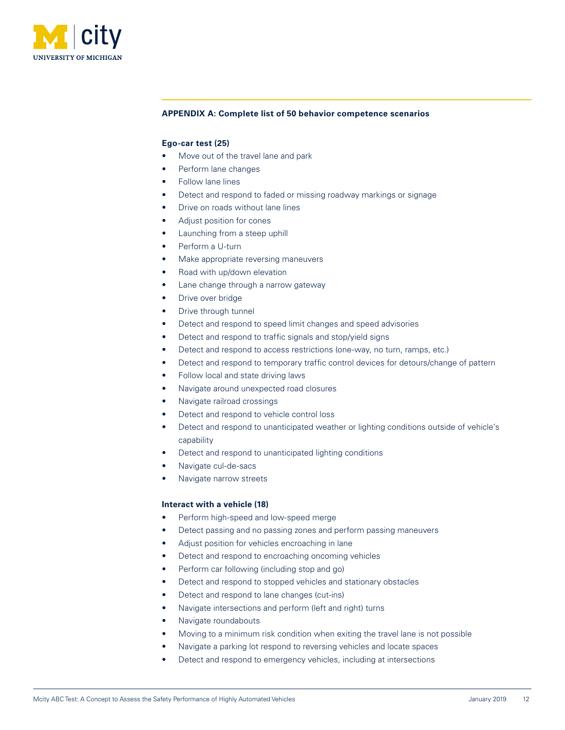<span id="page-11-0"></span>

#### **APPENDIX A: Complete list of 50 behavior competence scenarios**

#### **Ego-car test (25)**

- Move out of the travel lane and park
- Perform lane changes
- Follow lane lines
- Detect and respond to faded or missing roadway markings or signage
- Drive on roads without lane lines
- Adjust position for cones
- Launching from a steep uphill
- Perform a U-turn
- Make appropriate reversing maneuvers
- Road with up/down elevation
- Lane change through a narrow gateway
- Drive over bridge
- Drive through tunnel
- Detect and respond to speed limit changes and speed advisories
- Detect and respond to traffic signals and stop/yield signs
- Detect and respond to access restrictions (one-way, no turn, ramps, etc.)
- Detect and respond to temporary traffic control devices for detours/change of pattern
- Follow local and state driving laws
- Navigate around unexpected road closures
- Navigate railroad crossings
- Detect and respond to vehicle control loss
- Detect and respond to unanticipated weather or lighting conditions outside of vehicle's capability
- Detect and respond to unanticipated lighting conditions
- Navigate cul-de-sacs
- Navigate narrow streets

#### **Interact with a vehicle (18)**

- Perform high-speed and low-speed merge
- Detect passing and no passing zones and perform passing maneuvers
- Adjust position for vehicles encroaching in lane
- Detect and respond to encroaching oncoming vehicles
- Perform car following (including stop and go)
- Detect and respond to stopped vehicles and stationary obstacles
- Detect and respond to lane changes (cut-ins)
- Navigate intersections and perform (left and right) turns
- Navigate roundabouts
- Moving to a minimum risk condition when exiting the travel lane is not possible
- Navigate a parking lot respond to reversing vehicles and locate spaces
- Detect and respond to emergency vehicles, including at intersections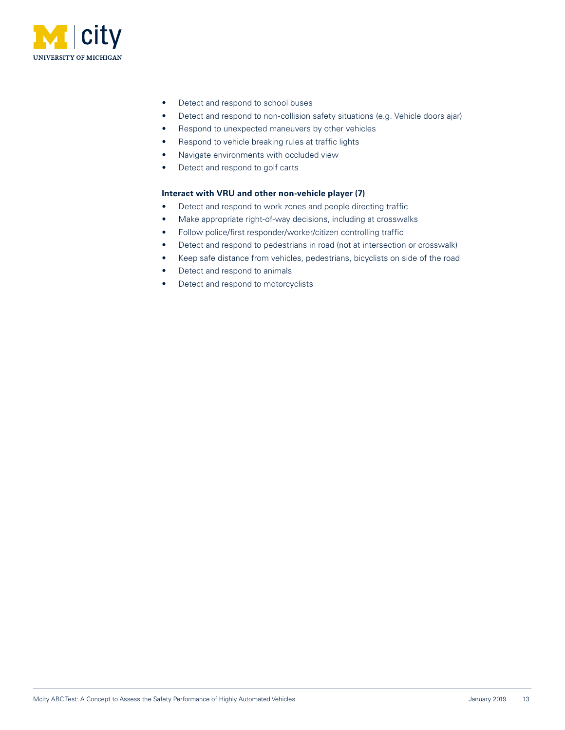

- Detect and respond to school buses
- Detect and respond to non-collision safety situations (e.g. Vehicle doors ajar)
- Respond to unexpected maneuvers by other vehicles
- Respond to vehicle breaking rules at traffic lights
- Navigate environments with occluded view
- Detect and respond to golf carts

#### **Interact with VRU and other non-vehicle player (7)**

- Detect and respond to work zones and people directing traffic
- Make appropriate right-of-way decisions, including at crosswalks
- Follow police/first responder/worker/citizen controlling traffic
- Detect and respond to pedestrians in road (not at intersection or crosswalk)
- Keep safe distance from vehicles, pedestrians, bicyclists on side of the road
- Detect and respond to animals
- Detect and respond to motorcyclists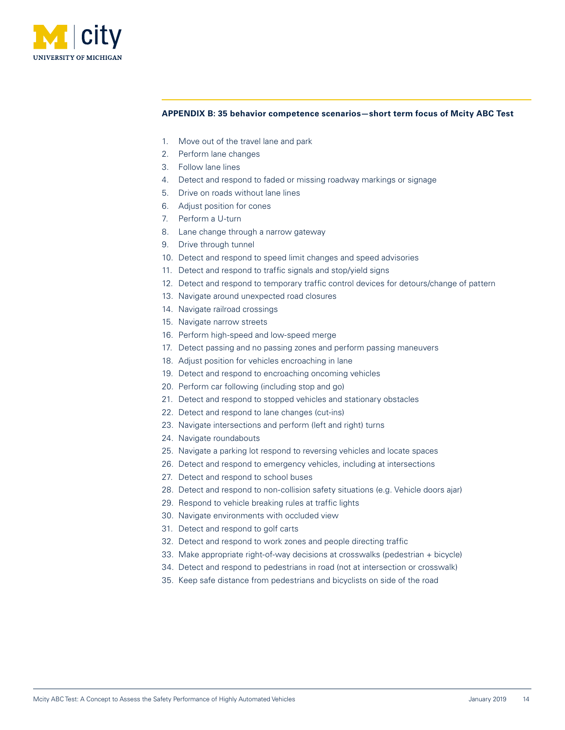<span id="page-13-0"></span>

#### **APPENDIX B: 35 behavior competence scenarios—short term focus of Mcity ABC Test**

- 1. Move out of the travel lane and park
- 2. Perform lane changes
- 3. Follow lane lines
- 4. Detect and respond to faded or missing roadway markings or signage
- 5. Drive on roads without lane lines
- 6. Adjust position for cones
- 7. Perform a U-turn
- 8. Lane change through a narrow gateway
- 9. Drive through tunnel
- 10. Detect and respond to speed limit changes and speed advisories
- 11. Detect and respond to traffic signals and stop/yield signs
- 12. Detect and respond to temporary traffic control devices for detours/change of pattern
- 13. Navigate around unexpected road closures
- 14. Navigate railroad crossings
- 15. Navigate narrow streets
- 16. Perform high-speed and low-speed merge
- 17. Detect passing and no passing zones and perform passing maneuvers
- 18. Adjust position for vehicles encroaching in lane
- 19. Detect and respond to encroaching oncoming vehicles
- 20. Perform car following (including stop and go)
- 21. Detect and respond to stopped vehicles and stationary obstacles
- 22. Detect and respond to lane changes (cut-ins)
- 23. Navigate intersections and perform (left and right) turns
- 24. Navigate roundabouts
- 25. Navigate a parking lot respond to reversing vehicles and locate spaces
- 26. Detect and respond to emergency vehicles, including at intersections
- 27. Detect and respond to school buses
- 28. Detect and respond to non-collision safety situations (e.g. Vehicle doors ajar)
- 29. Respond to vehicle breaking rules at traffic lights
- 30. Navigate environments with occluded view
- 31. Detect and respond to golf carts
- 32. Detect and respond to work zones and people directing traffic
- 33. Make appropriate right-of-way decisions at crosswalks (pedestrian + bicycle)
- 34. Detect and respond to pedestrians in road (not at intersection or crosswalk)
- 35. Keep safe distance from pedestrians and bicyclists on side of the road